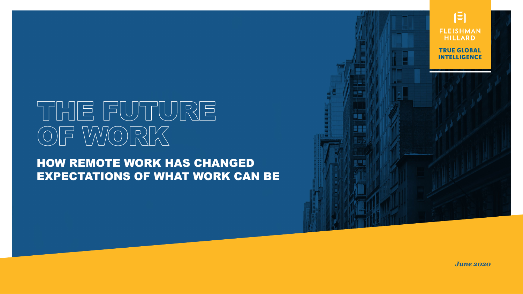# THE FUTURE OF WORK

HOW REMOTE WORK HAS CHANGED EXPECTATIONS OF WHAT WORK CAN BE



*June 2020*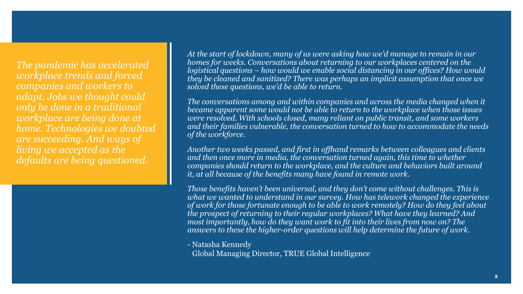*The pandemic has accelerated workplace trends and forced companies and workers to adapt. Jobs we thought could only be done in a traditional workplace are being done at home. Technologies we doubted are succeeding. And ways of living we accepted as the defaults are being questioned.*

*At the start of lockdown, many of us were asking how we'd manage to remain in our homes for weeks. Conversations about returning to our workplaces centered on the logistical questions – how would we enable social distancing in our offices? How would they be cleaned and sanitized? There was perhaps an implicit assumption that once we solved these questions, we'd be able to return.*

*The conversations among and within companies and across the media changed when it became apparent some would not be able to return to the workplace when those issues were resolved. With schools closed, many reliant on public transit, and some workers and their families vulnerable, the conversation turned to how to accommodate the needs of the workforce.*

*Another two weeks passed, and first in offhand remarks between colleagues and clients and then once more in media, the conversation turned again, this time to whether companies should return to the workplace, and the culture and behaviors built around it, at all because of the benefits many have found in remote work.*

*Those benefits haven't been universal, and they don't come without challenges. This is what we wanted to understand in our survey. How has telework changed the experience of work for those fortunate enough to be able to work remotely? How do they feel about the prospect of returning to their regular workplaces? What have they learned? And most importantly, how do they want work to fit into their lives from now on? The answers to these the higher-order questions will help determine the future of work.*

- Natasha Kennedy

Global Managing Director, TRUE Global Intelligence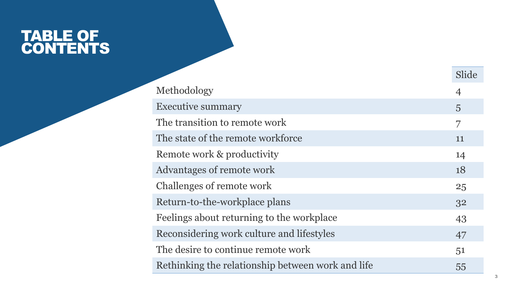### TABLE OF CONTENTS

|                                                   | Slide          |
|---------------------------------------------------|----------------|
| Methodology                                       | $\overline{4}$ |
| <b>Executive summary</b>                          | $\overline{5}$ |
| The transition to remote work                     | 7              |
| The state of the remote workforce                 | 11             |
| Remote work & productivity                        | 14             |
| Advantages of remote work                         | 18             |
| Challenges of remote work                         | 25             |
| Return-to-the-workplace plans                     | 32             |
| Feelings about returning to the workplace         | 43             |
| Reconsidering work culture and lifestyles         | 47             |
| The desire to continue remote work                | 51             |
| Rethinking the relationship between work and life | 55             |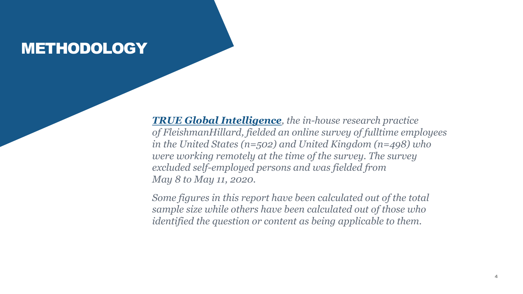### METHODOLOGY

*[TRUE Global Intelligence](https://fleishmanhillard.com/true-global-intelligence/), the in-house research practice of FleishmanHillard, fielded an online survey of fulltime employees in the United States (n=502) and United Kingdom (n=498) who were working remotely at the time of the survey. The survey excluded self-employed persons and was fielded from May 8 to May 11, 2020.*

*Some figures in this report have been calculated out of the total sample size while others have been calculated out of those who identified the question or content as being applicable to them.*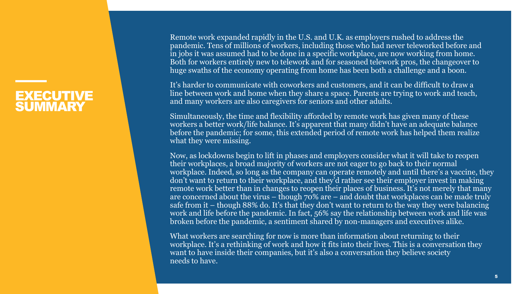#### EXECUTIVE **SUMMARY**

Remote work expanded rapidly in the U.S. and U.K. as employers rushed to address the pandemic. Tens of millions of workers, including those who had never teleworked before and in jobs it was assumed had to be done in a specific workplace, are now working from home. Both for workers entirely new to telework and for seasoned telework pros, the changeover to huge swaths of the economy operating from home has been both a challenge and a boon.

It's harder to communicate with coworkers and customers, and it can be difficult to draw a line between work and home when they share a space. Parents are trying to work and teach, and many workers are also caregivers for seniors and other adults.

Simultaneously, the time and flexibility afforded by remote work has given many of these workers a better work/life balance. It's apparent that many didn't have an adequate balance before the pandemic; for some, this extended period of remote work has helped them realize what they were missing.

Now, as lockdowns begin to lift in phases and employers consider what it will take to reopen their workplaces, a broad majority of workers are not eager to go back to their normal workplace. Indeed, so long as the company can operate remotely and until there's a vaccine, they don't want to return to their workplace, and they'd rather see their employer invest in making remote work better than in changes to reopen their places of business. It's not merely that many are concerned about the virus – though  $70\%$  are – and doubt that workplaces can be made truly safe from it – though 88% do. It's that they don't want to return to the way they were balancing work and life before the pandemic. In fact, 56% say the relationship between work and life was broken before the pandemic, a sentiment shared by non-managers and executives alike.

What workers are searching for now is more than information about returning to their workplace. It's a rethinking of work and how it fits into their lives. This is a conversation they want to have inside their companies, but it's also a conversation they believe society needs to have.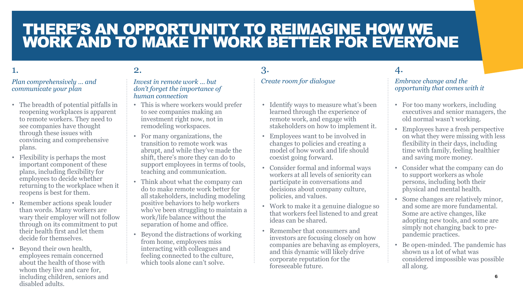### THERE'S AN OPPORTUNITY TO REIMAGINE HOW WE WORK AND TO MAKE IT WORK BETTER FOR EVERYONE

3.

#### 1.

#### *Plan comprehensively … and communicate your plan*

- The breadth of potential pitfalls in reopening workplaces is apparent to remote workers. They need to see companies have thought through these issues with convincing and comprehensive plans.
- Flexibility is perhaps the most important component of these plans, including flexibility for employees to decide whether returning to the workplace when it reopens is best for them.
- Remember actions speak louder than words. Many workers are wary their employer will not follow through on its commitment to put their health first and let them decide for themselves.
- Beyond their own health, employees remain concerned about the health of those with whom they live and care for, including children, seniors and disabled adults.

#### 2.

#### *Invest in remote work … but don't forget the importance of human connection*

- This is where workers would prefer to see companies making an investment right now, not in remodeling workspaces.
- For many organizations, the transition to remote work was abrupt, and while they've made the shift, there's more they can do to support employees in terms of tools, teaching and communication.
- Think about what the company can do to make remote work better for all stakeholders, including modeling positive behaviors to help workers who've been struggling to maintain a work/life balance without the separation of home and office.
- Beyond the distractions of working from home, employees miss interacting with colleagues and feeling connected to the culture, which tools alone can't solve.

#### *Create room for dialogue*

- Identify ways to measure what's been learned through the experience of remote work, and engage with stakeholders on how to implement it.
- Employees want to be involved in changes to policies and creating a model of how work and life should coexist going forward.
- Consider formal and informal ways workers at all levels of seniority can participate in conversations and decisions about company culture, policies, and values.
- Work to make it a genuine dialogue so that workers feel listened to and great ideas can be shared.
- Remember that consumers and investors are focusing closely on how companies are behaving as employers, and this dynamic will likely drive corporate reputation for the foreseeable future.

#### 4.

#### *Embrace change and the opportunity that comes with it*

- For too many workers, including executives and senior managers, the old normal wasn't working.
- Employees have a fresh perspective on what they were missing with less flexibility in their days, including time with family, feeling healthier and saving more money.
- Consider what the company can do to support workers as whole persons, including both their physical and mental health.
- Some changes are relatively minor, and some are more fundamental. Some are active changes, like adopting new tools, and some are simply not changing back to prepandemic practices.
- Be open-minded. The pandemic has shown us a lot of what was considered impossible was possible all along.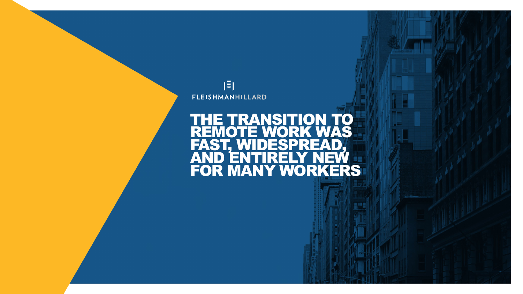

#### THE TRANSITION TO REMOTE WORK WAS REMOTE WORK W AND ENTIRELY NEW FOR MANY WORKERS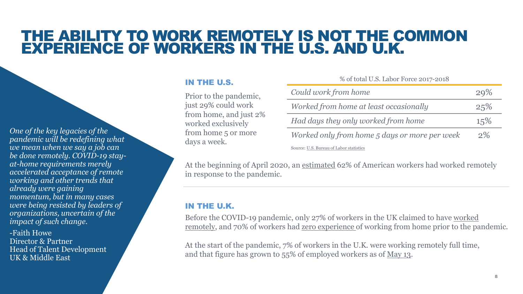### THE ABILITY TO WORK REMOTELY IS NOT THE COMMON EXPERIENCE OF WORKERS IN THE U.S. AND U.K.

*One of the key legacies of the pandemic will be redefining what we mean when we say a job can be done remotely. COVID-19 stayat-home requirements merely accelerated acceptance of remote working and other trends that already were gaining momentum, but in many cases were being resisted by leaders of organizations, uncertain of the impact of such change.* 

-Faith Howe Director & Partner Head of Talent Development UK & Middle East

#### IN THE U.S.

Prior to the pandemic, just 29% could work from home, and just 2% worked exclusively from home 5 or more days a week.

| $\frac{1}{10}$ of total 0.0. Eagle 1 or $\frac{1}{10}$ |       |
|--------------------------------------------------------|-------|
| Could work from home                                   | 29%   |
| Worked from home at least occasionally                 | 25%   |
| Had days they only worked from home                    | 15%   |
| Worked only from home 5 days or more per week          | $2\%$ |
| Source: U.S. Bureau of Labor statistics                |       |

% of total II.S. Labor Force 2017-2018

At the beginning of April 2020, an [estimated](https://news.gallup.com/poll/306695/workers-discovering-affinity-remote-work.aspx) 62% of American workers had worked remotely in response to the pandemic.

#### IN THE U.K.

[Before the COVID-19 pandemic, only 27% of workers in the UK claimed to have worked](https://www.ons.gov.uk/employmentandlabourmarket/peopleinwork/employmentandemployeetypes/datasets/homeworkingintheuklabourmarket)  remotely, and 70% of workers had [zero experience o](https://www.businessleader.co.uk/how-many-people-in-the-uk-worked-from-home-prior-to-coronavirus-outbreak/81646/)f working from home prior to the pandemic.

At the start of the pandemic, 7% of workers in the U.K. were working remotely full time, and that figure has grown to 55% of employed workers as of [May 13](https://yougov.co.uk/topics/economy/articles-reports/2020/05/13/most-middle-class-workers-are-working-home-full-ti).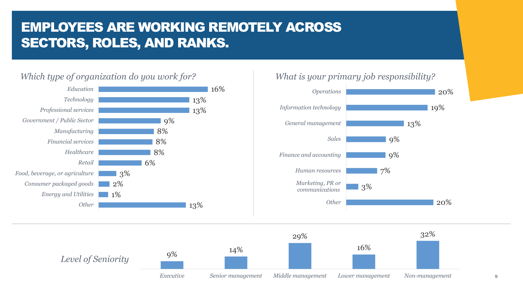### EMPLOYEES ARE WORKING REMOTELY ACROSS SECTORS, ROLES, AND RANKS.

#### *Which type of organization do you work for? What is your primary job responsibility?*





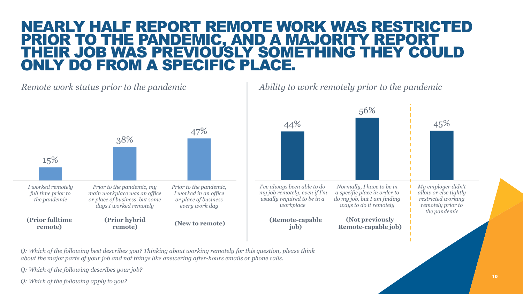### NEARLY HALF REPORT REMOTE WORK WAS RESTRICTED PRIOR TO THE PANDEMIC, AND A MAJORITY REPORT THEIR JOB WAS PREVIOUSLY SOMETHING THEY COULD ONLY DO FROM A SPECIFIC PLACE.

*Remote work status prior to the pandemic*



*Ability to work remotely prior to the pandemic*



*Q: Which of the following best describes you? Thinking about working remotely for this question, please think about the major parts of your job and not things like answering after-hours emails or phone calls.* 

*Q: Which of the following describes your job?*

*Q: Which of the following apply to you?*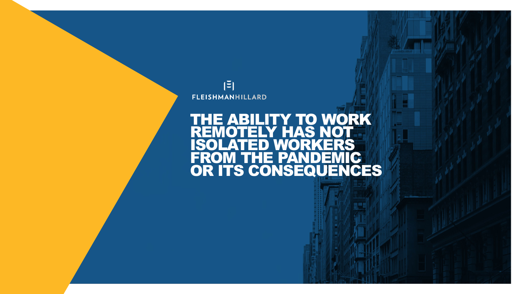

#### THE ABILITY TO WORK REMOTELY HAS NOT REMOTELY FIAS NUT<br>ISOLATED WORKERS<br>FROM THE PANDEMIC FROM THE PANDEMIC OR ITS CONSEQUENCES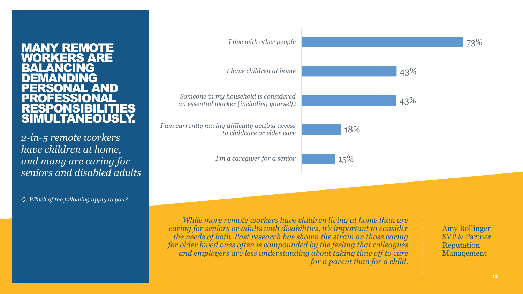#### MANY REMOTE *YORKERS ARE* **BALANCING** NDING<br>ONAL AND ERSONAL ROFESSIOI RESPONSIBILITIES SIMULTANEOUSLY.

*2-in-5 remote workers have children at home, and many are caring for seniors and disabled adults*

*Q: Which of the following apply to you?*



*While more remote workers have children living at home than are caring for seniors or adults with disabilities, it's important to consider the needs of both. Past research has shown the strain on those caring for older loved ones often is compounded by the feeling that colleagues and employers are less understanding about taking time off to care for a parent than for a child.* 

Amy Bollinger SVP & Partner Reputation Management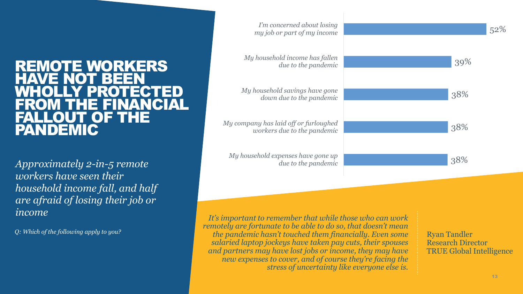#### REMOTE WORKERS HAVE NOT BEEN WHOLLY PROTECTED FROM THE FINANCIAL FALLOUT OF THE PANDEMIC

*Approximately 2-in-5 remote workers have seen their household income fall, and half are afraid of losing their job or income Income* **It's important to remember that while those who can work <b>***It's important to remember that while those who can work* 

*Q: Which of the following apply to you?*



*remotely are fortunate to be able to do so, that doesn't mean the pandemic hasn't touched them financially. Even some salaried laptop jockeys have taken pay cuts, their spouses and partners may have lost jobs or income, they may have new expenses to cover, and of course they're facing the stress of uncertainty like everyone else is.*

Ryan Tandler Research Director TRUE Global Intelligence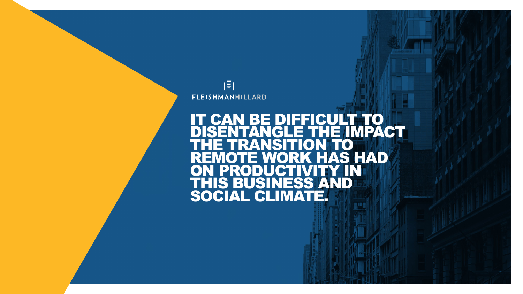

#### IT CAN BE DIFFICULT TO DISENTANGLE THE IMPACT HE TRANSITION TO **K HAS HAD<br>VITY IN** ON PRODUCTIVITY IN THIS BUSINESS AND SOCIAL CLIMATE.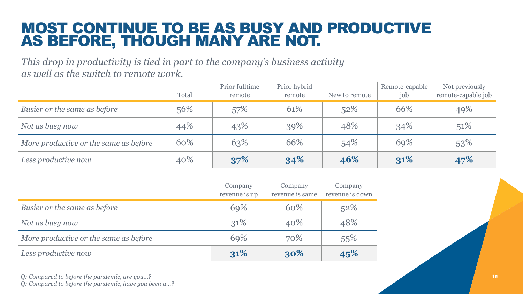### MOST CONTINUE TO BE AS BUSY AND PRODUCTIVE AS BEFORE, THOUGH MANY ARE NOT.

*This drop in productivity is tied in part to the company's business activity as well as the switch to remote work.*

|                                       | Total | Prior fulltime<br>remote | Prior hybrid<br>remote | New to remote | Remote-capable<br>job | Not previously<br>remote-capable job |
|---------------------------------------|-------|--------------------------|------------------------|---------------|-----------------------|--------------------------------------|
| Busier or the same as before          | 56%   | 57%                      | 61%                    | 52%           | 66%                   | 49%                                  |
| Not as busy now                       | 44%   | 43%                      | 39%                    | 48%           | 34%                   | 51%                                  |
| More productive or the same as before | 60%   | 63%                      | 66%                    | 54%           | 69%                   | 53%                                  |
| Less productive now                   | 40%   | 37%                      | 34%                    | 46%           | 31%                   | 47%                                  |

H.

|                                       | Company<br>revenue is up | Company<br>revenue is same | Company<br>revenue is down |
|---------------------------------------|--------------------------|----------------------------|----------------------------|
| Busier or the same as before          | 69%                      | 60%                        | 52%                        |
| Not as busy now                       | 31\%                     | 40%                        | 48%                        |
| More productive or the same as before | 69%                      | 70%                        | 55%                        |
| Less productive now                   | 31%                      | 30%                        | 45%                        |

*Q: Compared to before the pandemic, are you…? Q: Compared to before the pandemic, have you been a…?*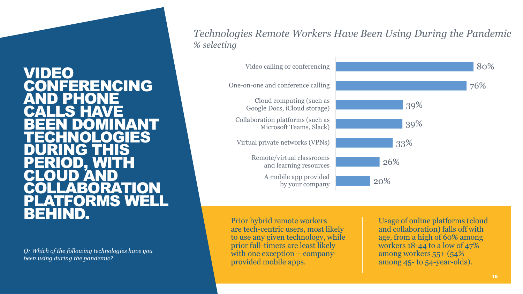### VIDEO CONFERENCING PHE TO CALLS HAVE BEEN DOMINANT TECHNOLOGIES DURING THIS PERIOD, WITH CLOUD AND LABORATION PLATFORMS WEL<br>BEHIND.

*Q: Which of the following technologies have you been using during the pandemic?* 

*Technologies Remote Workers Have Been Using During the Pandemic % selecting*



Prior hybrid remote workers are tech-centric users, most likely to use any given technology, while prior full-timers are least likely with one exception – companyprovided mobile apps.

Usage of online platforms (cloud and collaboration) falls off with age, from a high of 60% among workers 18-44 to a low of 47% among workers 55+ (54% among 45- to 54-year-olds).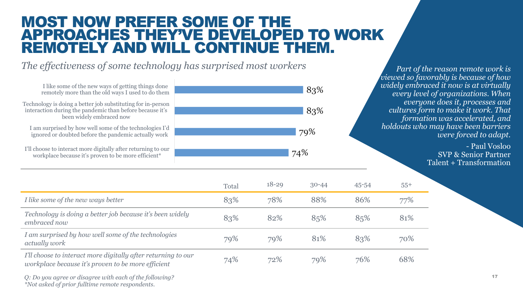### MOST NOW PREFER SOME OF THE APPROACHES THEY'VE DEVELOPED TO WORK REMOTELY AND WILL CONTINUE THEM.

*The effectiveness of some technology has surprised most workers*



*Part of the reason remote work is viewed so favorably is because of how widely embraced it now is at virtually every level of organizations. When everyone does it, processes and cultures form to make it work. That formation was accelerated, and holdouts who may have been barriers were forced to adapt.*

> - Paul Vosloo SVP & Senior Partner Talent + Transformation

|                                                                                                                     | Total | $18 - 29$ | $30 - 44$ | $45 - 54$ | $55+$ |
|---------------------------------------------------------------------------------------------------------------------|-------|-----------|-----------|-----------|-------|
| I like some of the new ways better                                                                                  | 83%   | 78%       | 88%       | 86%       | 77%   |
| Technology is doing a better job because it's been widely<br>embraced now                                           | 83%   | 82%       | 85%       | 85%       | 81%   |
| I am surprised by how well some of the technologies<br>actually work                                                | 79%   | 79%       | 81%       | 83%       | 70%   |
| I'll choose to interact more digitally after returning to our<br>workplace because it's proven to be more efficient | 74%   | 72%       | 79%       | 76%       | 68%   |

*Q: Do you agree or disagree with each of the following? \*Not asked of prior fulltime remote respondents.*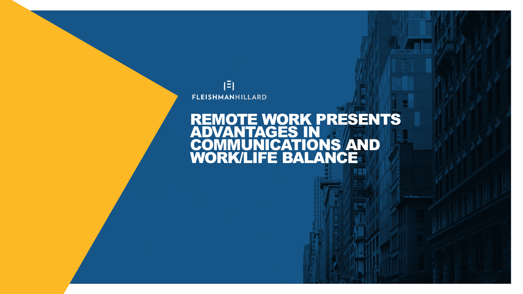

### REMOTE WORK PRESENTS ADVANTAGES IN COMMUNICATIONS AND WORK/LIFE BALANCE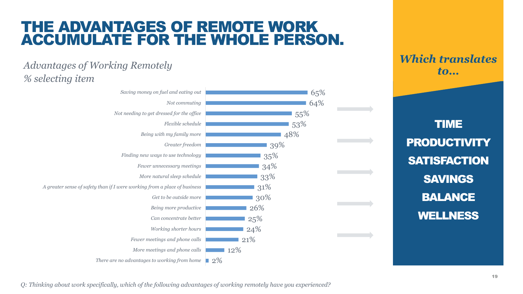### THE ADVANTAGES OF REMOTE WORK ACCUMULATE FOR THE WHOLE PERSON.

#### *Advantages of Working Remotely % selecting item*



*Which translates to…*

TIME **PRODUCTIVITY SATISFACTION** SAVINGS BALANCE WELLNESS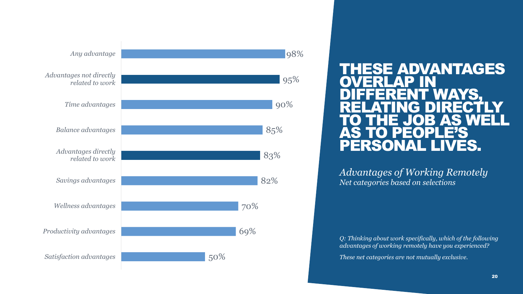

#### THESE ADVANTAGES OVERLAP IN DIFFERENT WAYS, RELATING DIRECTLY TO THE JOB AS WELL AS TO PEOPLE'S PERSONAL LIVES.

*Advantages of Working Remotely Net categories based on selections*

*Q: Thinking about work specifically, which of the following advantages of working remotely have you experienced?*

*These net categories are not mutually exclusive.*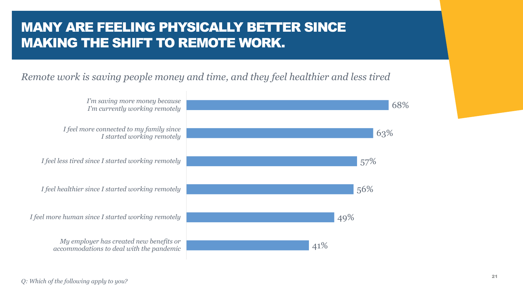### MANY ARE FEELING PHYSICALLY BETTER SINCE MAKING THE SHIFT TO REMOTE WORK.

#### *Remote work is saving people money and time, and they feel healthier and less tired*



*Q: Which of the following apply to you?*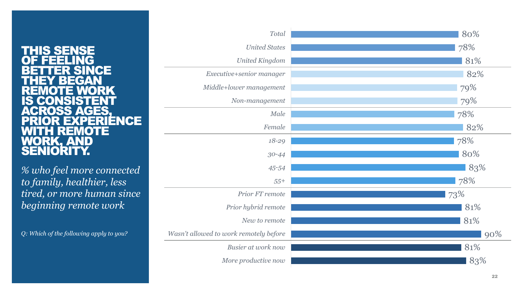#### THIS SENSE OF FEELING BETTER SINCE THEY BEGAN REMOTE WORK IS CONSISTENT ACROSS AGES, RIENCE<br>'E WITH REMOTE WORK, AND SENIORITY.

*% who feel more connected to family, healthier, less tired, or more human since beginning remote work*

*Q: Which of the following apply to you?*

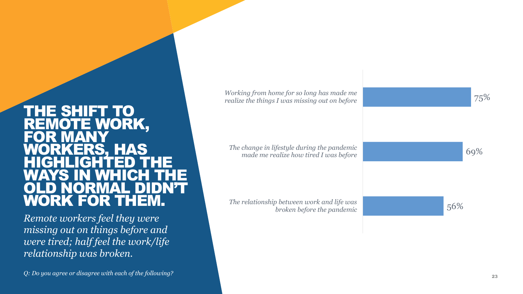#### THE SHIFT TO REMOTE WORK, FOR MANY WORKERS, HAS HIGHLIGHTED THE WEIGH OLD NORMAL DIDN'T WORK FOR THEM.

*Remote workers feel they were missing out on things before and were tired; half feel the work/life relationship was broken.*

*Q: Do you agree or disagree with each of the following?*

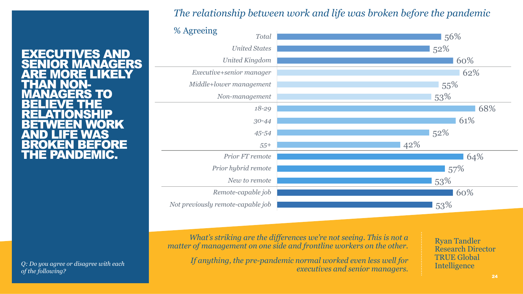#### *The relationship between work and life was broken before the pandemic*



EXECUTIVES AND MANAGERS<br>REI IKELY ET DIKEL THAN NON-<br><u>MANAGERS</u> TO BELIEVE THE RELATIONSHIP BETWEEN WORK AND LIFE WAS BROKEN BEFORE THE PANDEMIC.

*of the following?*

*What's striking are the differences we're not seeing. This is not a matter of management on one side and frontline workers on the other.* 

*If anything, the pre-pandemic normal worked even less well for executives and senior managers. Q: Do you agree or disagree with each* 

Ryan Tandler Research Director TRUE Global Intelligence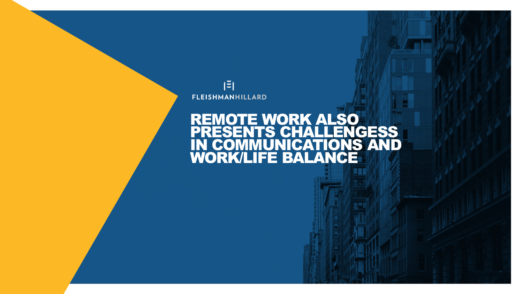

### REMOTE WORK ALSO PRESENTS CHALLENGESS IN COMMUNICATIONS AND WORK/LIFE BALANCE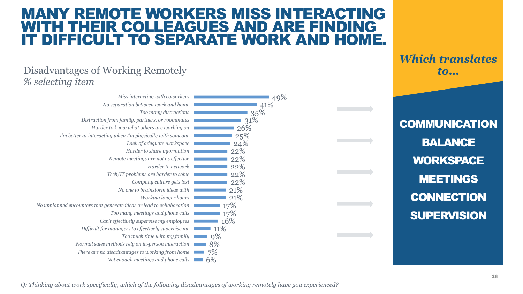### MANY REMOTE WORKERS MISS INTERACTING WITH THEIR COLLEAGUES AND ARE FINDING IT DIFFICULT TO SEPARATE WORK AND HOME.

#### Disadvantages of Working Remotely *% selecting item*

| Miss interacting with coworkers                                      | 49% |
|----------------------------------------------------------------------|-----|
| No separation between work and home                                  | 41% |
| Too many distractions                                                | 35% |
| Distraction from family, partners, or roommates                      | 31% |
| Harder to know what others are working on                            | 26% |
| I'm better at interacting when I'm physically with someone           | 25% |
| Lack of adequate workspace                                           | 24% |
| Harder to share information                                          | 22% |
| Remote meetings are not as effective                                 | 22% |
| Harder to network                                                    | 22% |
| Tech/IT problems are harder to solve                                 | 22% |
| Company culture gets lost                                            | 22% |
| No one to brainstorm ideas with                                      | 21% |
| <i>Working longer hours</i>                                          | 21% |
| No unplanned encounters that generate ideas or lead to collaboration | 17% |
| Too many meetings and phone calls                                    | 17% |
| Can't effectively supervise my employees                             | 16% |
| Difficult for managers to effectively supervise me                   | 11% |
| Too much time with my family                                         | 9%  |
| Normal sales methods rely on in-person interaction                   | 8%  |
| There are no disadvantages to working from home                      | 7%  |
| Not enough meetings and phone calls                                  | 6%  |

*Which translates to…*

**COMMUNICATION** BALANCE **WORKSPACE** MEETINGS **CONNECTION SUPERVISION** 

*Q: Thinking about work specifically, which of the following disadvantages of working remotely have you experienced?*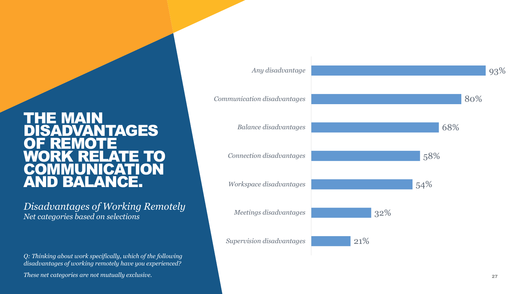#### THE MAIN **DISADVANTAGES** OF REMOTE RELATE TO **IMUNICATION** AND BALANCE.

*Disadvantages of Working Remotely Net categories based on selections*

*Q: Thinking about work specifically, which of the following disadvantages of working remotely have you experienced?*

*These net categories are not mutually exclusive.*

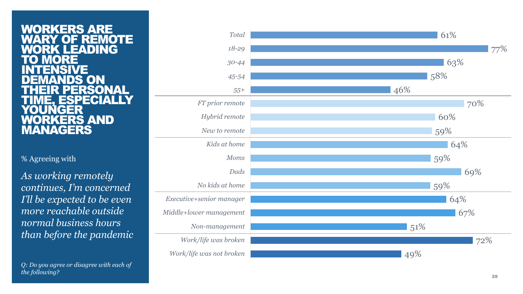#### WORKERS ARE<br>WARY OF REMO **REMOTE LEADING**<br>RE **TO MORE INTENSIVE** DEMANDS ON ERSONAL ESPECIA GER ORKERS AND MANAGERS

#### % Agreeing with

*As working remotely continues, I'm concerned I'll be expected to be even more reachable outside normal business hours than before the pandemic*

*Q: Do you agree or disagree with each of the following?*

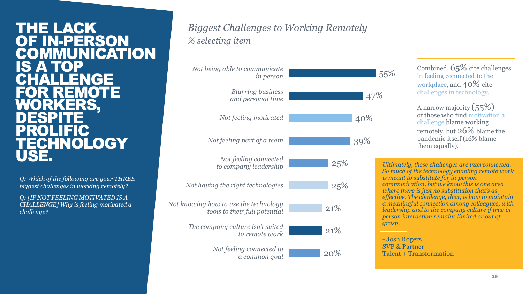#### THE LACK OF IN-PERSON **COMMUNICATION** IS ATOP<br>CHALLER ALLENGE FOR REMOTE ORKERS. **DESPITE PROLIFIC TECHNOLOGY** USE.

*Q: Which of the following are your THREE biggest challenges in working remotely?*

*Q: [IF NOT FEELING MOTIVATED IS A CHALLENGE] Why is feeling motivated a challenge?*

#### *Biggest Challenges to Working Remotely % selecting item*



Combined, 65% cite challenges in feeling connected to the workplace, and 40% cite challenges in technology.

A narrow majority (55%) of those who find motivation a challenge blame working remotely, but 26% blame the pandemic itself (16% blame them equally).

*Ultimately, these challenges are interconnected. So much of the technology enabling remote work is meant to substitute for in-person communication, but we know this is one area where there is just no substitution that's as effective. The challenge, then, is how to maintain a meaningful connection among colleagues, with leadership and to the company culture if true inperson interaction remains limited or out of grasp.*

- Josh Rogers SVP & Partner Talent + Transformation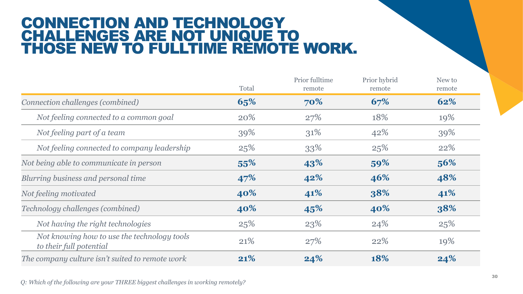### CONNECTION AND TECHNOLOGY CHALLENGES ARE NOT UNIQUE TO THOSE NEW TO FULLTIME REMOTE WORK.

|                                                                        | Total | Prior fulltime<br>remote | Prior hybrid<br>remote | New to<br>remote |
|------------------------------------------------------------------------|-------|--------------------------|------------------------|------------------|
| Connection challenges (combined)                                       | 65%   | 70%                      | 67%                    | 62%              |
| Not feeling connected to a common goal                                 | 20%   | 27%                      | 18%                    | 19%              |
| Not feeling part of a team                                             | 39%   | 31%                      | 42%                    | 39%              |
| Not feeling connected to company leadership                            | 25%   | 33%                      | 25%                    | 22%              |
| Not being able to communicate in person                                | 55%   | 43%                      | 59%                    | 56%              |
| Blurring business and personal time                                    | 47%   | 42%                      | 46%                    | 48%              |
| Not feeling motivated                                                  | 40%   | 41%                      | 38%                    | 41%              |
| Technology challenges (combined)                                       | 40%   | 45%                      | 40%                    | 38%              |
| Not having the right technologies                                      | 25%   | 23%                      | 24%                    | 25%              |
| Not knowing how to use the technology tools<br>to their full potential | 21%   | 27%                      | 22%                    | 19%              |
| The company culture isn't suited to remote work                        | 21%   | 24%                      | 18%                    | 24%              |

*Q: Which of the following are your THREE biggest challenges in working remotely?*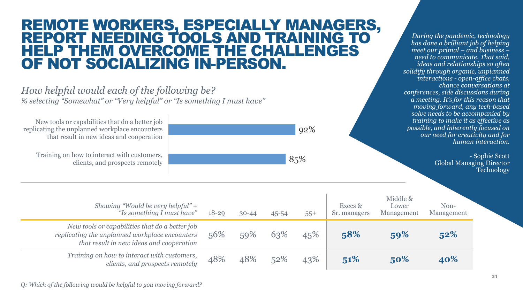### REMOTE WORKERS, ESPECIALLY MANAGERS, REPORT NEEDING TOOLS AND TRAINING TO HELP THEM OVERCOME THE CHALLENGES OF NOT SOCIALIZING IN-PERSON.

*How helpful would each of the following be? % selecting "Somewhat" or "Very helpful" or "Is something I must have"*

92% 85% New tools or capabilities that do a better job replicating the unplanned workplace encounters that result in new ideas and cooperation Training on how to interact with customers, clients, and prospects remotely *Showing "Would be very helpful" + "Is something I must have"* 18-29 30-44 45-54 55+ Execs & Sr. managers Middle & Lower Management Non-Management *New tools or capabilities that do a better job replicating the unplanned workplace encounters that result in new ideas and cooperation* 56% 59% 63% 45% **58% 59% 52%** *Training on how to interact with customers, clients, and prospects remotely* 48% 48% 52% 43% 51% 50% 40% *solve needs to be accompanied by training to make it as effective as possible, and inherently focused on our need for creativity and for human interaction.* - Sophie Scott Global Managing Director **Technology** 

*Q: Which of the following would be helpful to you moving forward?*

*During the pandemic, technology has done a brilliant job of helping meet our primal – and business – need to communicate. That said, ideas and relationships so often solidify through organic, unplanned interactions - open-office chats,* 

*conferences, side discussions during a meeting. It's for this reason that moving forward, any tech-based* 

*chance conversations at*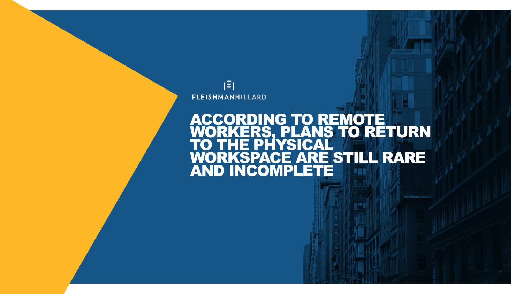

### ACCORDING TO REMOTE WORKERS, PLANS TO RETURN TO THE PHYSICAL ORKSPACE ARE STILL RARE<br>ND INCOMPLETE **AND INCOMPLET**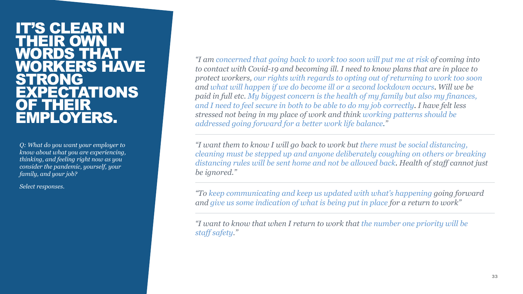#### **IT'S CLEAR IN<br>THEIR OWN** THEIR WORDS THAT WORKERS HAVE STRONG **KPECTATIONS** OF THEIR EMPLOYERS.

*Q: What do you want your employer to know about what you are experiencing, thinking, and feeling right now as you consider the pandemic, yourself, your family, and your job?*

*Select responses.*

*"I am concerned that going back to work too soon will put me at risk of coming into to contact with Covid-19 and becoming ill. I need to know plans that are in place to protect workers, our rights with regards to opting out of returning to work too soon and what will happen if we do become ill or a second lockdown occurs. Will we be paid in full etc. My biggest concern is the health of my family but also my finances, and I need to feel secure in both to be able to do my job correctly. I have felt less stressed not being in my place of work and think working patterns should be addressed going forward for a better work life balance."*

*"I want them to know I will go back to work but there must be social distancing, cleaning must be stepped up and anyone deliberately coughing on others or breaking distancing rules will be sent home and not be allowed back. Health of staff cannot just be ignored."*

*"To keep communicating and keep us updated with what's happening going forward and give us some indication of what is being put in place for a return to work"*

*"I want to know that when I return to work that the number one priority will be staff safety."*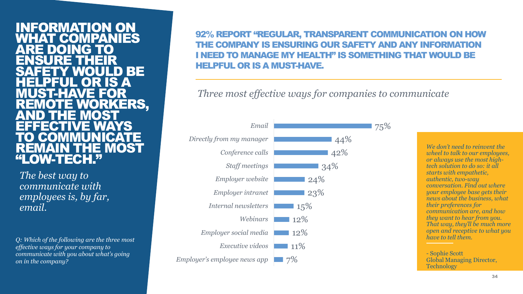#### INFORMATION ON **MPANIES** ARE DOING TO ENSURE THEIR SAFETY WOULD BE HELPFUL OR IS A MUST-HAVE FOR WORKERS, AND THE MOST EFFECTIVE WAYS TO COMMUNICATE **ENVIOLS** W-TECH.

*The best way to communicate with employees is, by far, email.*

*Q: Which of the following are the three most effective ways for your company to communicate with you about what's going on in the company?*

#### 92% REPORT "REGULAR, TRANSPARENT COMMUNICATION ON HOW THE COMPANY IS ENSURING OUR SAFETY AND ANY INFORMATION I NEED TO MANAGE MY HEALTH" IS SOMETHING THAT WOULD BE HELPFUL OR IS A MUST-HAVE.

*Three most effective ways for companies to communicate*



*We don't need to reinvent the wheel to talk to our employees, or always use the most hightech solution to do so: it all starts with empathetic, authentic, two-way conversation. Find out where your employee base gets their news about the business, what their preferences for communication are, and how they want to hear from you. That way, they'll be much more open and receptive to what you have to tell them.* 

- Sophie Scott Global Managing Director, **Technology**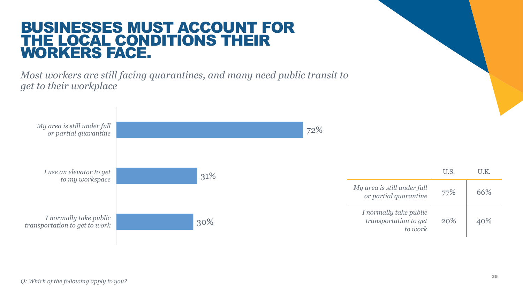### BUSINESSES MUST ACCOUNT FOR THE LOCAL CONDITIONS THEIR WORKERS FACE.

*Most workers are still facing quarantines, and many need public transit to get to their workplace*

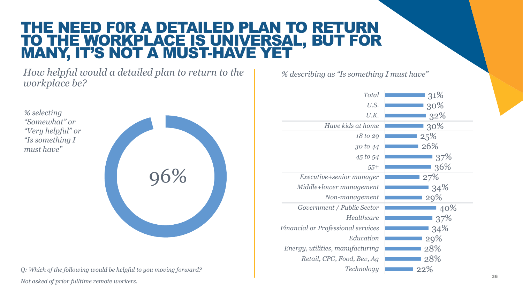### THE NEED F0R A DETAILED PLAN TO RETURN TO THE WORKPLACE IS UNIVERSAL, BUT FOR MANY, IT'S NOT A MUST-HAVE YET

*How helpful would a detailed plan to return to the workplace be?*

*% selecting "Somewhat" or "Very helpful" or "Is something I must have"*



*Q: Which of the following would be helpful to you moving forward? Not asked of prior fulltime remote workers.*

*% describing as "Is something I must have"*

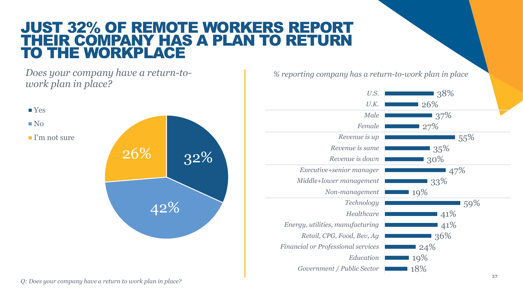### JUST 32% OF REMOTE WORKERS REPORT THEIR COMPANY HAS A PLAN TO RETURN TO THE WORKPLACE

*Does your company have a return-towork plan in place?*



*% reporting company has a return-to-work plan in place*

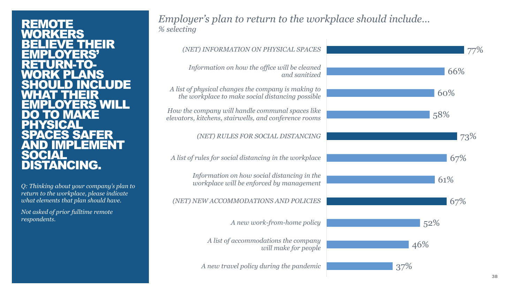#### **REMOTE** RKERS **EVE THEIR** EMPLOYERS' RETURN-TO-<br><u>WORK PLANS</u> **.D INCLUDE** EHR EMPLOYERS WILL TO MAKE **PHYSICAL CES SAFER** AND IMPLEMENT SOCIAL DISTANCING.

*Q: Thinking about your company's plan to return to the workplace, please indicate what elements that plan should have.*

*Not asked of prior fulltime remote respondents.*

#### *Employer's plan to return to the workplace should include… % selecting*

| (NET) INFORMATION ON PHYSICAL SPACES                                                                      |     |
|-----------------------------------------------------------------------------------------------------------|-----|
| Information on how the office will be cleaned<br>and sanitized                                            | 66% |
| A list of physical changes the company is making to<br>the workplace to make social distancing possible   | 60% |
| How the company will handle communal spaces like<br>elevators, kitchens, stairwells, and conference rooms | 58% |
| (NET) RULES FOR SOCIAL DISTANCING                                                                         | 73% |
| A list of rules for social distancing in the workplace                                                    | 67% |
| Information on how social distancing in the<br>workplace will be enforced by management                   | 61% |
| (NET) NEW ACCOMMODATIONS AND POLICIES                                                                     | 67% |
| A new work-from-home policy                                                                               | 52% |
| A list of accommodations the company<br>will make for people                                              | 46% |
| A new travel policy during the pandemic                                                                   | 37% |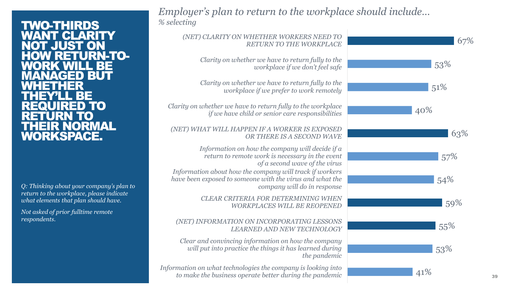#### TWO-THIRDS **ANT CLARITY<br>OT JUST ON** T JUST<br>V RETI 'URN-TO-<br>|LL BE GED BUT<br>HER WHETHER BEE **RED TO** RETURN TO THEIR NORMAL WORKSPACE.

*Q: Thinking about your company's plan to return to the workplace, please indicate what elements that plan should have.*

*Not asked of prior fulltime remote respondents.*

#### *Employer's plan to return to the workplace should include… % selecting*

| (NET) CLARITY ON WHETHER WORKERS NEED TO<br>RETURN TO THE WORKPLACE                                                                                | 67% |    |
|----------------------------------------------------------------------------------------------------------------------------------------------------|-----|----|
| Clarity on whether we have to return fully to the<br>workplace if we don't feel safe                                                               | 53% |    |
| Clarity on whether we have to return fully to the<br>workplace if we prefer to work remotely                                                       | 51% |    |
| Clarity on whether we have to return fully to the workplace<br>if we have child or senior care responsibilities                                    | 40% |    |
| (NET) WHAT WILL HAPPEN IF A WORKER IS EXPOSED<br>OR THERE IS A SECOND WAVE                                                                         | 63% |    |
| Information on how the company will decide if a<br>return to remote work is necessary in the event<br>of a second wave of the virus                | 57% |    |
| Information about how the company will track if workers<br>have been exposed to someone with the virus and what the<br>company will do in response | 54% |    |
| <b>CLEAR CRITERIA FOR DETERMINING WHEN</b><br><b>WORKPLACES WILL BE REOPENED</b>                                                                   | 59% |    |
| (NET) INFORMATION ON INCORPORATING LESSONS<br><b>LEARNED AND NEW TECHNOLOGY</b>                                                                    | 55% |    |
| Clear and convincing information on how the company<br>will put into practice the things it has learned during<br>the pandemic                     | 53% |    |
| Information on what technologies the company is looking into<br>to make the business operate better during the pandemic                            | 41% | 39 |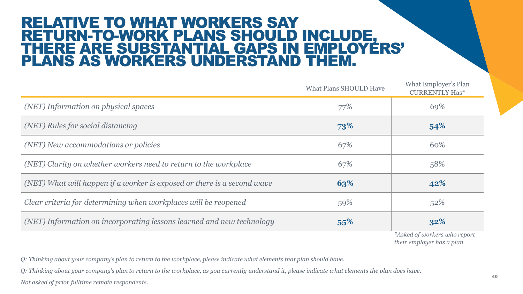### RELATIVE TO WHAT WORKERS SAY RETURN-TO-WORK PLANS SHOULD INCLUDE, THERE ARE SUBSTANTIAL GAPS IN EMPLOYERS' PLANS AS WORKERS UNDERSTAND THEM.

|                                                                         | <b>What Plans SHOULD Have</b> | What Employer's Plan<br><b>CURRENTLY Has*</b>             |
|-------------------------------------------------------------------------|-------------------------------|-----------------------------------------------------------|
| (NET) Information on physical spaces                                    | 77%                           | 69%                                                       |
| (NET) Rules for social distancing                                       | 73%                           | 54%                                                       |
| (NET) New accommodations or policies                                    | 67%                           | 60%                                                       |
| (NET) Clarity on whether workers need to return to the workplace        | 67%                           | 58%                                                       |
| (NET) What will happen if a worker is exposed or there is a second wave | 63%                           | 42%                                                       |
| Clear criteria for determining when workplaces will be reopened         | 59%                           | 52%                                                       |
| (NET) Information on incorporating lessons learned and new technology   | 55%                           | 32%                                                       |
|                                                                         |                               | *Asked of workers who report<br>their employer has a plan |

*Q: Thinking about your company's plan to return to the workplace, please indicate what elements that plan should have.*

*Q: Thinking about your company's plan to return to the workplace, as you currently understand it, please indicate what elements the plan does have.*

*Not asked of prior fulltime remote respondents.*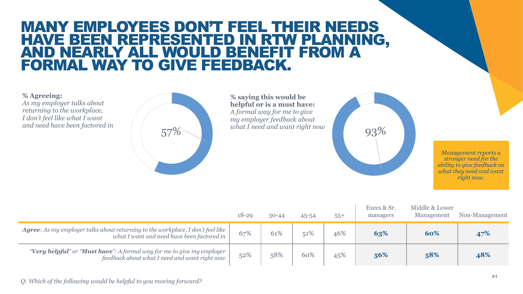### MANY EMPLOYEES DON'T FEEL THEIR NEEDS HAVE BEEN REPRESENTED IN RTW PLANNING, AND NEARLY ALL WOULD BENEFIT FROM A FORMAL WAY TO GIVE FEEDBACK.

**% Agreeing:**  *As my employer talks about returning to the workplace, I don't feel like what I want* 



**% saying this would be helpful or is a must have:** *A formal way for me to give my employer feedback about* 



*Management reports a stronger need for the ability to give feedback on what they need and want right now.*

|                                                                                                                                      | 18-29 | $30 - 44$ | 45-54 | $55+$ | Execs & Sr.<br>managers | Middle & Lower<br>Management | Non-Management |
|--------------------------------------------------------------------------------------------------------------------------------------|-------|-----------|-------|-------|-------------------------|------------------------------|----------------|
| <b>Agree:</b> As my employer talks about returning to the workplace, I don't feel like<br>what I want and need have been factored in | 67%   | 61%       | 51%   | 46%   | 63%                     | 60%                          | 47%            |
| "Very helpful" or "Must have": A formal way for me to give my employer<br>feedback about what I need and want right now              | 52%   | 58%       | 60%   | 45%   | 56%                     | 58%                          | 48%            |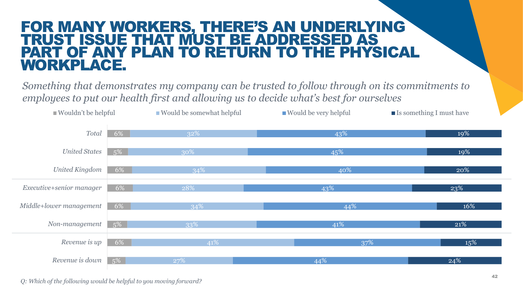### FOR MANY WORKERS, THERE'S AN UNDERLYING TRUST ISSUE THAT MUST BE ADDRESSED AS PART OF ANY PLAN TO RETURN TO THE PHYSICAL WORKPLACE.

*Something that demonstrates my company can be trusted to follow through on its commitments to employees to put our health first and allowing us to decide what's best for ourselves*



*Q: Which of the following would be helpful to you moving forward?*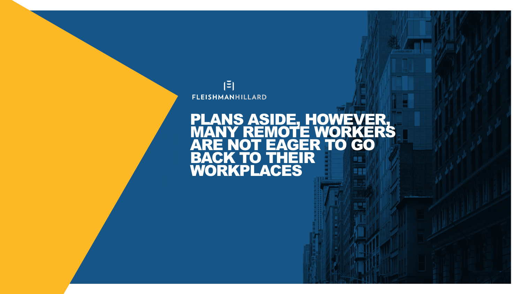

#### PLANS ASIDE, HOWEVER<br>MANY REMOTE WORKER MANY REMOTE WORKERS ARE NOT EAGER TO GO BACK TO THEIR WORKPLACES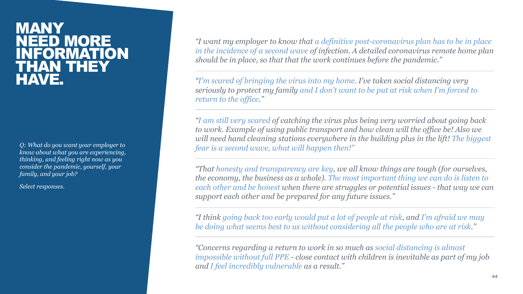### MANY IEED MORE **NFORMATION** THAN THEY HAVE.

*Q: What do you want your employer to know about what you are experiencing, thinking, and feeling right now as you consider the pandemic, yourself, your family, and your job?*

*Select responses.*

*"I want my employer to know that a definitive post-coronavirus plan has to be in place in the incidence of a second wave of infection. A detailed coronavirus remote home plan should be in place, so that that the work continues before the pandemic."*

*"I'm scared of bringing the virus into my home. I've taken social distancing very seriously to protect my family and I don't want to be put at risk when I'm forced to return to the office."*

*"I am still very scared of catching the virus plus being very worried about going back to work. Example of using public transport and how clean will the office be! Also we will need hand cleaning stations everywhere in the building plus in the lift! The biggest fear is a second wave, what will happen then!"*

*"That honesty and transparency are key, we all know things are tough (for ourselves, the economy, the business as a whole). The most important thing we can do is listen to each other and be honest when there are struggles or potential issues - that way we can support each other and be prepared for any future issues."*

*"I think going back too early would put a lot of people at risk, and I'm afraid we may be doing what seems best to us without considering all the people who are at risk."*

*"Concerns regarding a return to work in so much as social distancing is almost impossible without full PPE - close contact with children is inevitable as part of my job and I feel incredibly vulnerable as a result."*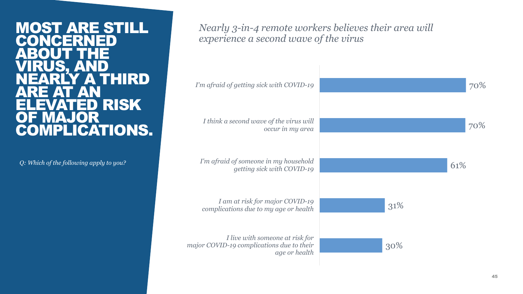#### MOST ARE STILL CONCERNED) ABOUT THE VIRUS, AND RLY A THIRD ARE AT AN **ATED RISK** MAJOR COMPLICATIONS.

*Q: Which of the following apply to you?*

*Nearly 3-in-4 remote workers believes their area will experience a second wave of the virus*

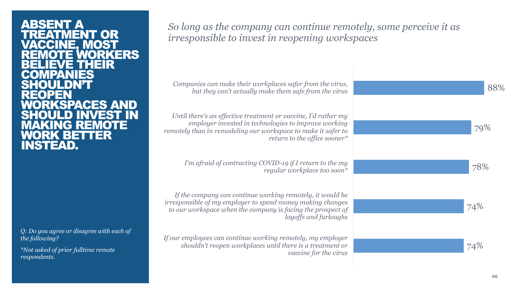#### ABSENT A TREATMENT OR VACCINE, MOST **WORKERS** IEVE THEIR **COMPANIES SHOULDN'T REOPEN** KSPACES AND SHOULD INVEST IN ING REM WORK BETTER INSTEAD.

*Q: Do you agree or disagree with each of the following?*

*\*Not asked of prior fulltime remote respondents.*

*So long as the company can continue remotely, some perceive it as irresponsible to invest in reopening workspaces*

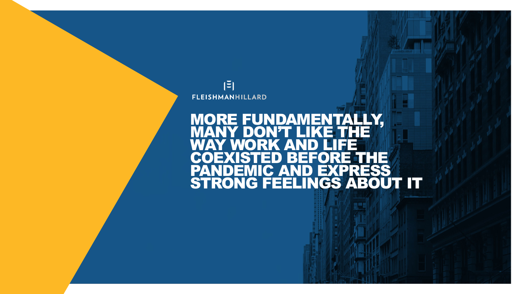

#### MORE FUNDAMENTALLY, MANY DON'T LIKE THE WAY WORK AND LIFE EFORE THE PANDEMIC AND EXPRESS STRONG FEELINGS ABOUT IT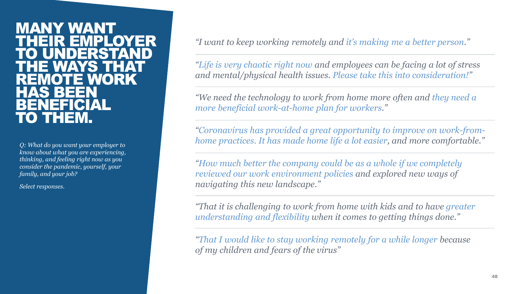#### MANY WANT THEIR EMPLOYER UNDE<del>RST</del>A THE WAYS THAT REMOTE WORK HAS BEEN **BENEFICIAL** TO THEM.

*Q: What do you want your employer to know about what you are experiencing, thinking, and feeling right now as you consider the pandemic, yourself, your family, and your job?*

*Select responses.*

*"I want to keep working remotely and it's making me a better person."*

*"Life is very chaotic right now and employees can be facing a lot of stress and mental/physical health issues. Please take this into consideration!"*

*"We need the technology to work from home more often and they need a more beneficial work-at-home plan for workers."*

*"Coronavirus has provided a great opportunity to improve on work-fromhome practices. It has made home life a lot easier, and more comfortable."*

*"How much better the company could be as a whole if we completely reviewed our work environment policies and explored new ways of navigating this new landscape."*

*"That it is challenging to work from home with kids and to have greater understanding and flexibility when it comes to getting things done."*

*"That I would like to stay working remotely for a while longer because of my children and fears of the virus"*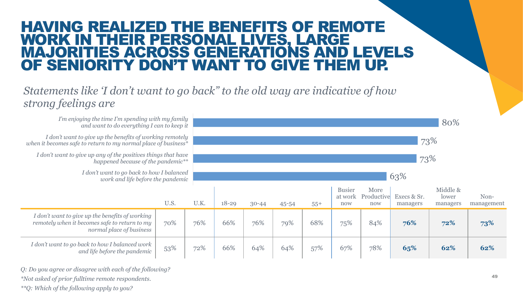### HAVING REALIZED THE BENEFITS OF REMOTE WORK IN THEIR PERSONAL LIVES, LARGE MAJORITIES ACROSS GENERATIONS AND LEVELS OF SENIORITY DON'T WANT TO GIVE THEM UP.

#### *Statements like 'I don't want to go back" to the old way are indicative of how strong feelings are*

| I'm enjoying the time I'm spending with my family<br>and want to do everything I can to keep it                              |      |      |           |           |       |       |                                 |                           |                         | 80%                           |                    |
|------------------------------------------------------------------------------------------------------------------------------|------|------|-----------|-----------|-------|-------|---------------------------------|---------------------------|-------------------------|-------------------------------|--------------------|
| I don't want to give up the benefits of working remotely<br>when it becomes safe to return to my normal place of business*   |      |      | 73%       |           |       |       |                                 |                           |                         |                               |                    |
| I don't want to give up any of the positives things that have<br>happened because of the pandemic**                          |      | 73%  |           |           |       |       |                                 |                           |                         |                               |                    |
| I don't want to go back to how I balanced<br>work and life before the pandemic                                               |      | 63%  |           |           |       |       |                                 |                           |                         |                               |                    |
|                                                                                                                              | U.S. | U.K. | $18 - 29$ | $30 - 44$ | 45-54 | $55+$ | <b>Busier</b><br>at work<br>now | More<br>Productive<br>now | Execs & Sr.<br>managers | Middle &<br>lower<br>managers | Non-<br>management |
| I don't want to give up the benefits of working<br>remotely when it becomes safe to return to my<br>normal place of business | 70%  | 76%  | 66%       | 76%       | 79%   | 68%   | 75%                             | 84%                       | 76%                     | 72%                           | 73%                |
| I don't want to go back to how I balanced work<br>and life before the pandemic                                               | 53%  | 72%  | 66%       | 64%       | 64%   | 57%   | 67%                             | 78%                       | 65%                     | 62%                           | 62%                |

*Q: Do you agree or disagree with each of the following?*

*\*Not asked of prior fulltime remote respondents.*

*\*\*Q: Which of the following apply to you?*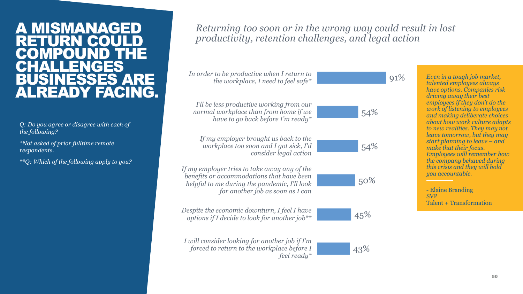#### A MISMANAGED RETURN COUL COMPOUND THE<br>CHALLENGES **CHALL** BUSINESSES ARE ALREADY FACING.

*Q: Do you agree or disagree with each of the following?*

*\*Not asked of prior fulltime remote respondents.*

*\*\*Q: Which of the following apply to you?*

#### *Returning too soon or in the wrong way could result in lost productivity, retention challenges, and legal action*



*Even in a tough job market, talented employees always have options. Companies risk driving away their best employees if they don't do the work of listening to employees and making deliberate choices about how work culture adapts to new realities. They may not leave tomorrow, but they may start planning to leave – and make that their focus. Employees will remember how the company behaved during this crisis and they will hold you accountable.*

- Elaine Branding SVP Talent + Transformation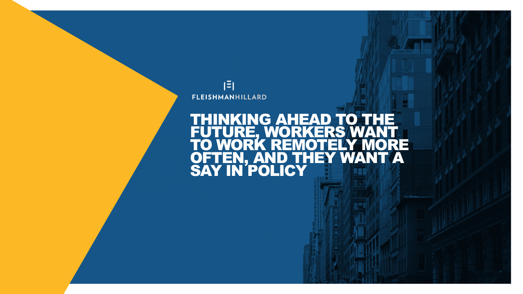

### THINKING AHEAD TO THE<br>FUTURE, WORKERS WANT FUTURE, WORKERS WANT I<br>TO WORK REMOTELY MORE TO WORK REMOTELY MORE OFTEN, AND THEY WANT A SAY IN POLICY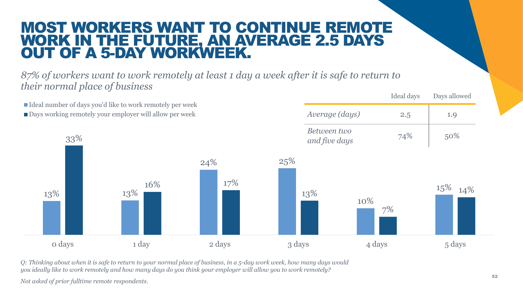### MOST WORKERS WANT TO CONTINUE REMOTE WORK IN THE FUTURE, AN AVERAGE 2.5 DAYS OUT OF A 5-DAY WORKWEEK.

*87% of workers want to work remotely at least 1 day a week after it is safe to return to their normal place of business*

13% 13% 24% 25% 10% 15% 33% 16% 17% 13% 7% 14% 0 days 1 day 2 days 3 days 3 days 4 days 5 days 5 days Ideal number of days you'd like to work remotely per week Days working remotely your employer will allow per week Ideal days Days allowed *Average (days)* 2.5 1.9 *Between two*  and five days **74%** 50%

*Q: Thinking about when it is safe to return to your normal place of business, in a 5-day work week, how many days would you ideally like to work remotely and how many days do you think your employer will allow you to work remotely?*

*Not asked of prior fulltime remote respondents.*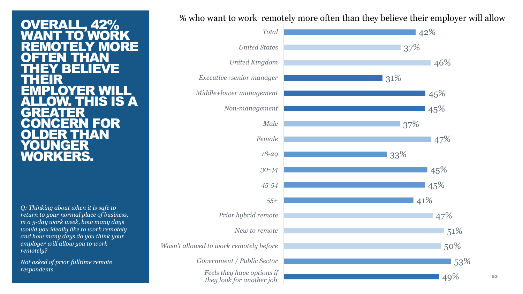OVERALL, 42% WANT TO WORK **REMOTELY MORE OFTEN THAN** THEY BELIEVE **THEIR** EMPLOYER WILL **HIS IS A** GREATER FOR I E ANN YOUNGER WORKERS.

*Q: Thinking about when it is safe to return to your normal place of business, in a 5-day work week, how many days would you ideally like to work remotely and how many days do you think your employer will allow you to work remotely?*

*Not asked of prior fulltime remote respondents.*

% who want to work remotely more often than they believe their employer will allow



53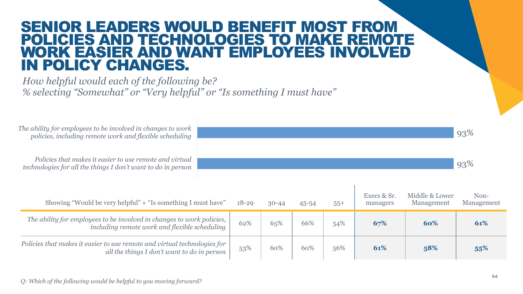### SENIOR LEADERS WOULD BENEFIT MOST FROM POLICIES AND TECHNOLOGIES TO MAKE REMOTE WORK EASIER AND WANT EMPLOYEES INVOL IN POLICY CHANGES.

*How helpful would each of the following be? % selecting "Somewhat" or "Very helpful" or "Is something I must have"*



| Showing "Would be very helpful" + "Is something I must have"                                                            | $18 - 29$ | $30 - 44$ | 45-54 | $55+$ | Execs & Sr.<br>managers | Middle & Lower<br>Management | Non-<br>Management |
|-------------------------------------------------------------------------------------------------------------------------|-----------|-----------|-------|-------|-------------------------|------------------------------|--------------------|
| The ability for employees to be involved in changes to work policies,<br>including remote work and flexible scheduling  | 62%       | 65%       | 66%   | 54%   | 67%                     | 60%                          | 61%                |
| Policies that makes it easier to use remote and virtual technologies for<br>all the things I don't want to do in person | 53%       | 60%       | 60%   | 56%   | 61%                     | 58%                          | 55%                |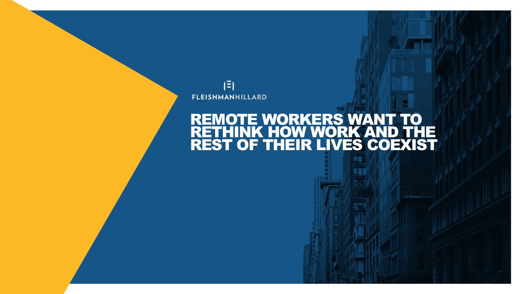

### REMOTE WORKERS WANT TO RETHINK HOW WORK AND THE REST OF THEIR LIVES COEXIST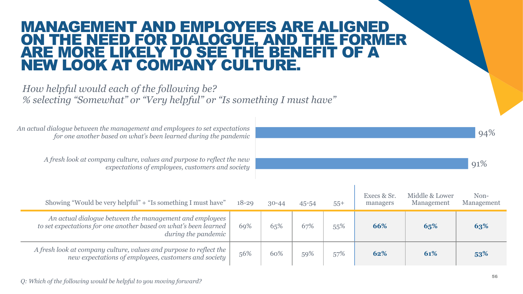### MANAGEMENT AND EMPLOYEES ARE ALIGNED ON THE NEED FOR DIALOGUE, AND THE FORMER ARE MORE LIKELY TO SEE THE BENEFIT OF A NEW LOOK AT COMPANY CULTURE.

#### *How helpful would each of the following be? % selecting "Somewhat" or "Very helpful" or "Is something I must have"*

*An actual dialogue between the management and employees to set expectations for one another based on what's been learned during the pandemic*

> *A fresh look at company culture, values and purpose to reflect the new expectations of employees, customers and society*

| Showing "Would be very helpful" + "Is something I must have"                                                                                       | $18 - 29$ | $30 - 44$ | 45-54 | $55+$ | Execs & Sr.<br>managers | Middle & Lower<br>Management | Non-<br>Management |
|----------------------------------------------------------------------------------------------------------------------------------------------------|-----------|-----------|-------|-------|-------------------------|------------------------------|--------------------|
| An actual dialogue between the management and employees<br>to set expectations for one another based on what's been learned<br>during the pandemic | 69%       | 65%       | 67%   | 55%   | 66%                     | 65%                          | 63%                |
| A fresh look at company culture, values and purpose to reflect the<br>new expectations of employees, customers and society                         | 56%       | 60%       | 59%   | 57%   | 62%                     | 61%                          | 53%                |

94%

91%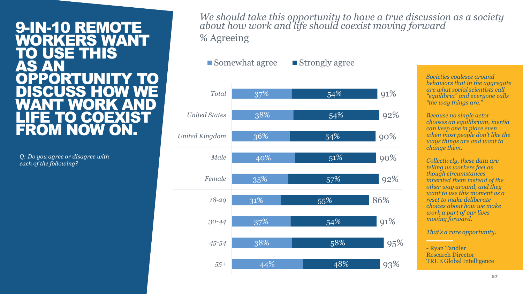#### 9-IN-10 REMOTE WORKERS WANT TO USE THIS AS AN OPPORTUNITY TO DISCUSS HOW<br>WANT WORK A WANT WORK AND LIFE TO COEXIST FROM NOW ON.

*Q: Do you agree or disagree with each of the following?*

*We should take this opportunity to have a true discussion as a society about how work and life should coexist moving forward* % Agreeing

■ Somewhat agree ■ Strongly agree

| Total                 | 37%              | 54% | 91% |
|-----------------------|------------------|-----|-----|
| <b>United States</b>  | 38%              | 54% | 92% |
| <b>United Kingdom</b> | 36%              | 54% | 90% |
| Male                  | 40%              | 51% | 90% |
| Female                | 35%              | 57% | 92% |
| $18 - 29$             | 31%              | 55% | 86% |
| $30 - 44$             | 37%              | 54% | 91% |
| 45-54                 | 38%              | 58% | 95% |
| $55+$                 | $\frac{44\%}{ }$ | 48% | 93% |

*Societies coalesce around behaviors that in the aggregate are what social scientists call "equilibria" and everyone calls "the way things are."* 

*Because no single actor chooses an equilibrium, inertia can keep one in place even when most people don't like the ways things are and want to change them.*

*Collectively, these data are telling us workers feel as though circumstances inherited them instead of the other way around, and they want to use this moment as a reset to make deliberate choices about how we make work a part of our lives moving forward.* 

*That's a rare opportunity.*

- Ryan Tandler Research Director TRUE Global Intelligence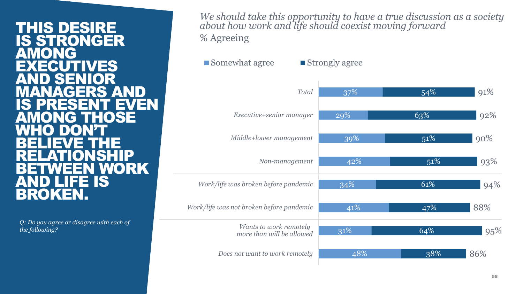#### THIS DESIRE IS STRONGER **AMONG NES** SEI MANAGERS AND IS PRESENT EVEN G**THOSE** WHO DON'T BELIEVE THE RELATIONSHIP I WORK<br>IS AND LIFE IS BROKEN.

*Q: Do you agree or disagree with each of the following?*

*We should take this opportunity to have a true discussion as a society about how work and life should coexist moving forward* % Agreeing

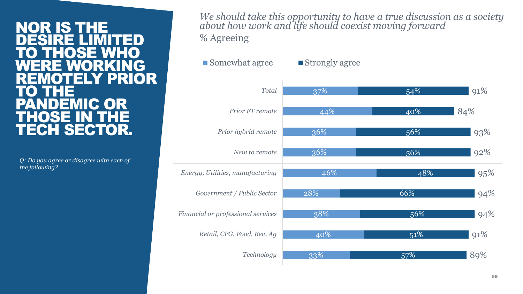#### NOR IS THE DESIRE LIMITED TO THOSE WHO WERE WORKING REMOTELY PRIOR TO THE **P** THOSE IN THE TECH SECTOR.

*Q: Do you agree or disagree with each of the following?*

*We should take this opportunity to have a true discussion as a society about how work and life should coexist moving forward* % Agreeing